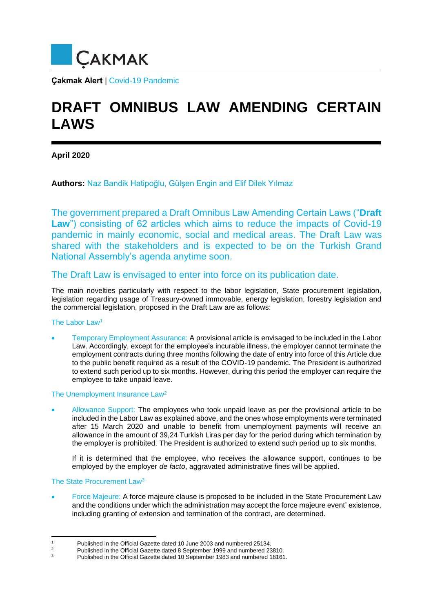

**Çakmak Alert** | Covid-19 Pandemic

# **DRAFT OMNIBUS LAW AMENDING CERTAIN LAWS**

**April 2020** 

**Authors:** Naz Bandik Hatipoğlu, Gülşen Engin and Elif Dilek Yılmaz

The government prepared a Draft Omnibus Law Amending Certain Laws ("**Draft Law**") consisting of 62 articles which aims to reduce the impacts of Covid-19 pandemic in mainly economic, social and medical areas. The Draft Law was shared with the stakeholders and is expected to be on the Turkish Grand National Assembly's agenda anytime soon.

# The Draft Law is envisaged to enter into force on its publication date.

The main novelties particularly with respect to the labor legislation, State procurement legislation, legislation regarding usage of Treasury-owned immovable, energy legislation, forestry legislation and the commercial legislation, proposed in the Draft Law are as follows:

#### The Labor Law<sup>1</sup>

 Temporary Employment Assurance: A provisional article is envisaged to be included in the Labor Law. Accordingly, except for the employee's incurable illness, the employer cannot terminate the employment contracts during three months following the date of entry into force of this Article due to the public benefit required as a result of the COVID-19 pandemic. The President is authorized to extend such period up to six months. However, during this period the employer can require the employee to take unpaid leave.

# The Unemployment Insurance Law<sup>2</sup>

 Allowance Support: The employees who took unpaid leave as per the provisional article to be included in the Labor Law as explained above, and the ones whose employments were terminated after 15 March 2020 and unable to benefit from unemployment payments will receive an allowance in the amount of 39,24 Turkish Liras per day for the period during which termination by the employer is prohibited. The President is authorized to extend such period up to six months.

If it is determined that the employee, who receives the allowance support, continues to be employed by the employer *de facto*, aggravated administrative fines will be applied.

#### The State Procurement Law<sup>3</sup>

 Force Majeure: A force majeure clause is proposed to be included in the State Procurement Law and the conditions under which the administration may accept the force majeure event' existence, including granting of extension and termination of the contract, are determined.

<sup>&</sup>lt;sup>1</sup> Published in the Official Gazette dated 10 June 2003 and numbered 25134.<br><sup>2</sup> Published in the Official Cazette dated 8 September 1000 and numbered 35

<sup>&</sup>lt;sup>2</sup> Published in the Official Gazette dated 8 September 1999 and numbered 23810.

Published in the Official Gazette dated 10 September 1983 and numbered 18161.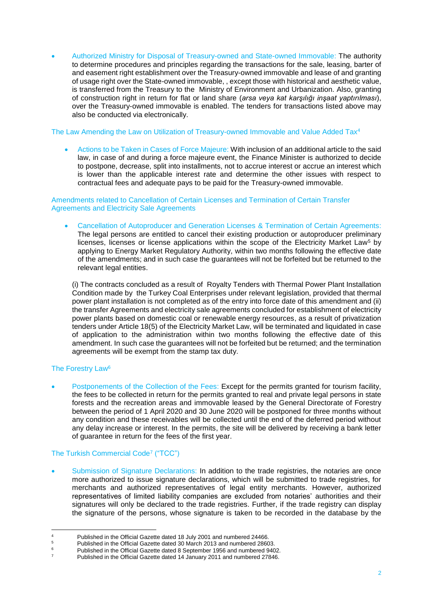Authorized Ministry for Disposal of Treasury-owned and State-owned Immovable: The authority to determine procedures and principles regarding the transactions for the sale, leasing, barter of and easement right establishment over the Treasury-owned immovable and lease of and granting of usage right over the State-owned immovable, , except those with historical and aesthetic value, is transferred from the Treasury to the Ministry of Environment and Urbanization. Also, granting of construction right in return for flat or land share (*arsa veya kat karşılığı inşaat yaptırılması*), over the Treasury-owned immovable is enabled. The tenders for transactions listed above may also be conducted via electronically.

The Law Amending the Law on Utilization of Treasury-owned Immovable and Value Added Tax<sup>4</sup>

 Actions to be Taken in Cases of Force Majeure: With inclusion of an additional article to the said law, in case of and during a force majeure event, the Finance Minister is authorized to decide to postpone, decrease, split into installments, not to accrue interest or accrue an interest which is lower than the applicable interest rate and determine the other issues with respect to contractual fees and adequate pays to be paid for the Treasury-owned immovable.

#### Amendments related to Cancellation of Certain Licenses and Termination of Certain Transfer Agreements and Electricity Sale Agreements

 Cancellation of Autoproducer and Generation Licenses & Termination of Certain Agreements: The legal persons are entitled to cancel their existing production or autoproducer preliminary licenses, licenses or license applications within the scope of the Electricity Market Law<sup>5</sup> by applying to Energy Market Regulatory Authority, within two months following the effective date of the amendments; and in such case the guarantees will not be forfeited but be returned to the relevant legal entities.

(i) The contracts concluded as a result of Royalty Tenders with Thermal Power Plant Installation Condition made by the Turkey Coal Enterprises under relevant legislation, provided that thermal power plant installation is not completed as of the entry into force date of this amendment and (ii) the transfer Agreements and electricity sale agreements concluded for establishment of electricity power plants based on domestic coal or renewable energy resources, as a result of privatization tenders under Article 18(5) of the Electricity Market Law, will be terminated and liquidated in case of application to the administration within two months following the effective date of this amendment. In such case the guarantees will not be forfeited but be returned; and the termination agreements will be exempt from the stamp tax duty.

# The Forestry Law<sup>6</sup>

 Postponements of the Collection of the Fees: Except for the permits granted for tourism facility, the fees to be collected in return for the permits granted to real and private legal persons in state forests and the recreation areas and immovable leased by the General Directorate of Forestry between the period of 1 April 2020 and 30 June 2020 will be postponed for three months without any condition and these receivables will be collected until the end of the deferred period without any delay increase or interest. In the permits, the site will be delivered by receiving a bank letter of guarantee in return for the fees of the first year.

# The Turkish Commercial Code<sup>7</sup> ("TCC")

 Submission of Signature Declarations: In addition to the trade registries, the notaries are once more authorized to issue signature declarations, which will be submitted to trade registries, for merchants and authorized representatives of legal entity merchants. However, authorized representatives of limited liability companies are excluded from notaries' authorities and their signatures will only be declared to the trade registries. Further, if the trade registry can display the signature of the persons, whose signature is taken to be recorded in the database by the

 $\overline{1}$ Published in the Official Gazette dated 18 July 2001 and numbered 24466.<br><sup>5</sup> Published in the Official Gazette dated 30 March 2013 and numbered 2860

<sup>&</sup>lt;sup>5</sup> Published in the Official Gazette dated 30 March 2013 and numbered 28603.<br><sup>6</sup> Published in the Official Gazette dated 8 September 1956 and numbered 040

<sup>6</sup> Published in the Official Gazette dated 8 September 1956 and numbered 9402.

Published in the Official Gazette dated 14 January 2011 and numbered 27846.